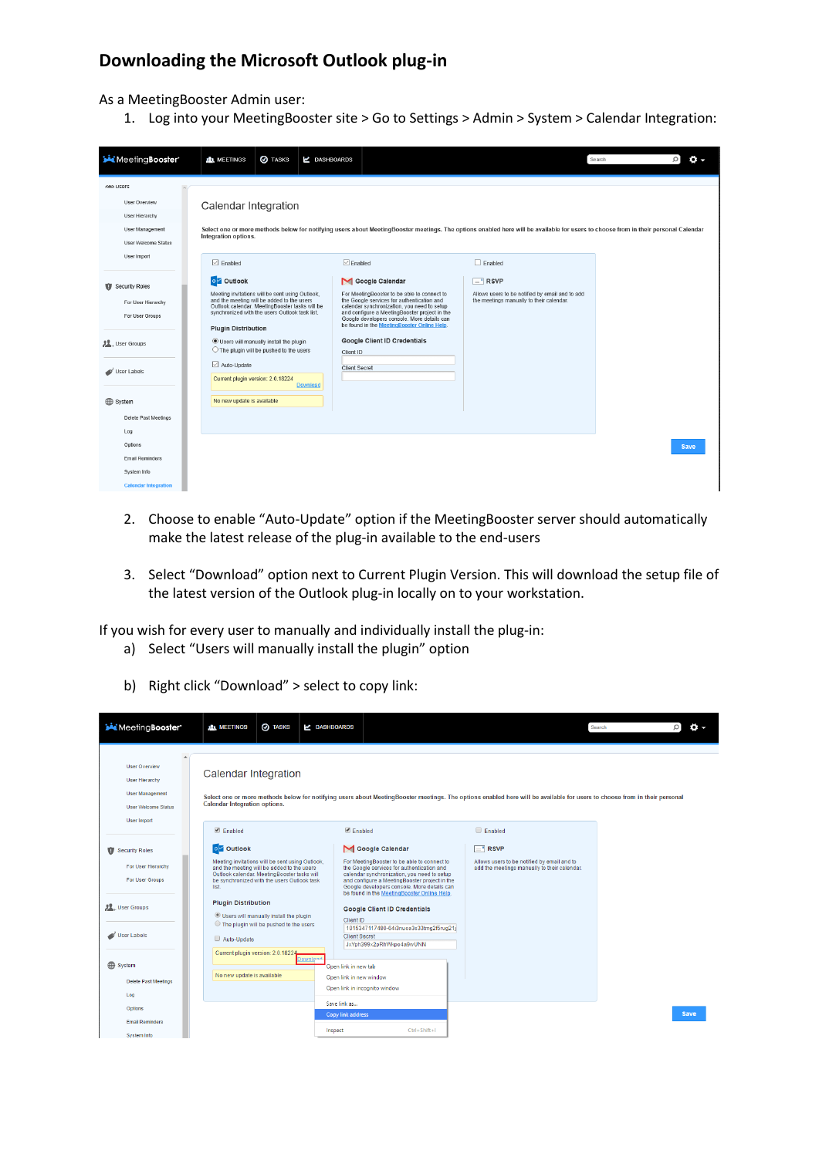## **Downloading the Microsoft Outlook plug-in**

As a MeetingBooster Admin user:

1. Log into your MeetingBooster site > Go to Settings > Admin > System > Calendar Integration:

| Meeting Booster'                                                                                     | <b>AL</b> MEETINGS                                                                                                                                                                                                                                                                                                                                                                                                 | <b>O</b> TASKS | <b>LASHBOARDS</b>                                    |                                                                                                                                                                                                                                                                                                                                                   |                                                                                                                                                                                    | Search | $\circ$<br>α. |
|------------------------------------------------------------------------------------------------------|--------------------------------------------------------------------------------------------------------------------------------------------------------------------------------------------------------------------------------------------------------------------------------------------------------------------------------------------------------------------------------------------------------------------|----------------|------------------------------------------------------|---------------------------------------------------------------------------------------------------------------------------------------------------------------------------------------------------------------------------------------------------------------------------------------------------------------------------------------------------|------------------------------------------------------------------------------------------------------------------------------------------------------------------------------------|--------|---------------|
| <b>GAN USBIS</b><br>User Overview<br>User Hierarchy<br>User Management<br><b>User Welcome Status</b> | Calendar Integration<br>Integration options.                                                                                                                                                                                                                                                                                                                                                                       |                |                                                      |                                                                                                                                                                                                                                                                                                                                                   | Select one or more methods below for notifying users about MeetingBooster meetings. The options enabled here will be available for users to choose from in their personal Calendar |        |               |
| User Import                                                                                          | $\nabla$ Enabled                                                                                                                                                                                                                                                                                                                                                                                                   |                | $\triangledown$ Enabled                              |                                                                                                                                                                                                                                                                                                                                                   | $\Box$ Enabled                                                                                                                                                                     |        |               |
| Security Roles<br>For User Hierarchy<br>For User Groups<br><b>JL</b> , User Groups<br>User Labels    | o Outlook<br>Meeting invitations will be sent using Outlook.<br>and the meeting will be added to the users<br>Outlook calendar. MeetingBooster tasks will be<br>synchronized with the users Outlook task list.<br><b>Plugin Distribution</b><br><b>O</b> Users will manually install the plugin<br>$\bigcirc$ The plugin will be pushed to the users<br>$\boxdot$ Auto-Update<br>Current plugin version: 2.0.18224 |                | Client ID<br><b>Client Secret</b><br><b>Download</b> | Google Calendar<br>For MeetingBooster to be able to connect to<br>the Google services for authentication and<br>calendar synchronization, you need to setup<br>and configure a MeetingBooster project in the<br>Google developers console. More details can<br>be found in the MeetingBooster Online Help.<br><b>Google Client ID Credentials</b> | <b>RSVP</b><br>- 1<br>Allows users to be notified by email and to add<br>the meetings manually to their calendar.                                                                  |        |               |
| System<br><b>Delete Past Meetings</b>                                                                | No new update is available                                                                                                                                                                                                                                                                                                                                                                                         |                |                                                      |                                                                                                                                                                                                                                                                                                                                                   |                                                                                                                                                                                    |        |               |
| Log<br>Options<br><b>Email Reminders</b><br>System Info<br><b>Calendar Integration</b>               |                                                                                                                                                                                                                                                                                                                                                                                                                    |                |                                                      |                                                                                                                                                                                                                                                                                                                                                   |                                                                                                                                                                                    |        | <b>Save</b>   |

- 2. Choose to enable "Auto-Update" option if the MeetingBooster server should automatically make the latest release of the plug-in available to the end-users
- 3. Select "Download" option next to Current Plugin Version. This will download the setup file of the latest version of the Outlook plug-in locally on to your workstation.

If you wish for every user to manually and individually install the plug-in:

- a) Select "Users will manually install the plugin" option
- b) Right click "Download" > select to copy link:

| Meeting Booster'                                                                                                            | <b>O</b> TASKS<br><b>ALL MEETINGS</b>                                                                                                                                                                | Z DASHBOARDS                                                                                                                                                                                                                                                                            |                                                                                             | $\alpha$ -<br>Search |
|-----------------------------------------------------------------------------------------------------------------------------|------------------------------------------------------------------------------------------------------------------------------------------------------------------------------------------------------|-----------------------------------------------------------------------------------------------------------------------------------------------------------------------------------------------------------------------------------------------------------------------------------------|---------------------------------------------------------------------------------------------|----------------------|
| <b>User Overview</b><br><b>User Hierarchy</b><br><b>User Management</b><br><b>User Welcome Status</b><br><b>User Import</b> | Calendar Integration<br>Calendar Integration options.                                                                                                                                                | Select one or more methods below for notifying users about MeetingBooster meetings. The options enabled here will be available for users to choose from in their personal                                                                                                               |                                                                                             |                      |
|                                                                                                                             | Enabled                                                                                                                                                                                              | <b>Enabled</b>                                                                                                                                                                                                                                                                          | <b>Enabled</b>                                                                              |                      |
| Security Roles                                                                                                              | o Outlook                                                                                                                                                                                            | Google Calendar                                                                                                                                                                                                                                                                         | $\boxed{=}$ RSVP                                                                            |                      |
| For User Hierarchy<br><b>For User Groups</b>                                                                                | Meeting invitations will be sent using Outlook.<br>and the meeting will be added to the users<br>Outlook calendar, MeetingBooster tasks will<br>be synchronized with the users Outlook task<br>list. | For MeetingBooster to be able to connect to<br>the Google services for authentication and<br>calendar synchronization, you need to setup<br>and configure a MeetingBooster project in the<br>Google developers console. More details can<br>be found in the MeetingBooster Online Help. | Allows users to be notified by email and to<br>add the meetings manually to their calendar. |                      |
| <b>JL</b> , User Groups                                                                                                     | <b>Plugin Distribution</b><br>Users will manually install the plugin                                                                                                                                 | <b>Google Client ID Credentials</b><br>Client ID                                                                                                                                                                                                                                        |                                                                                             |                      |
| User Labels                                                                                                                 | ◯ The plugin will be pushed to the users<br>Auto-Update<br>Current plugin version: 2.0.18224                                                                                                         | 1015347117480-64i3nuoa3s33tmg2f5rug21i<br><b>Client Secret</b><br>JxYph399x2pRhWkpo4a9wUNN                                                                                                                                                                                              |                                                                                             |                      |
| System                                                                                                                      | <b>Download</b>                                                                                                                                                                                      | Open link in new tab                                                                                                                                                                                                                                                                    |                                                                                             |                      |
| <b>Delete Past Meetings</b>                                                                                                 | No new update is available                                                                                                                                                                           | Open link in new window<br>Open link in incognito window                                                                                                                                                                                                                                |                                                                                             |                      |
| Log<br>Options                                                                                                              |                                                                                                                                                                                                      | Save link as                                                                                                                                                                                                                                                                            |                                                                                             | <b>Save</b>          |
| <b>Email Reminders</b><br>System Info                                                                                       |                                                                                                                                                                                                      | <b>Copy link address</b><br>$Ctrl + Shift + 1$<br>Inspect                                                                                                                                                                                                                               |                                                                                             |                      |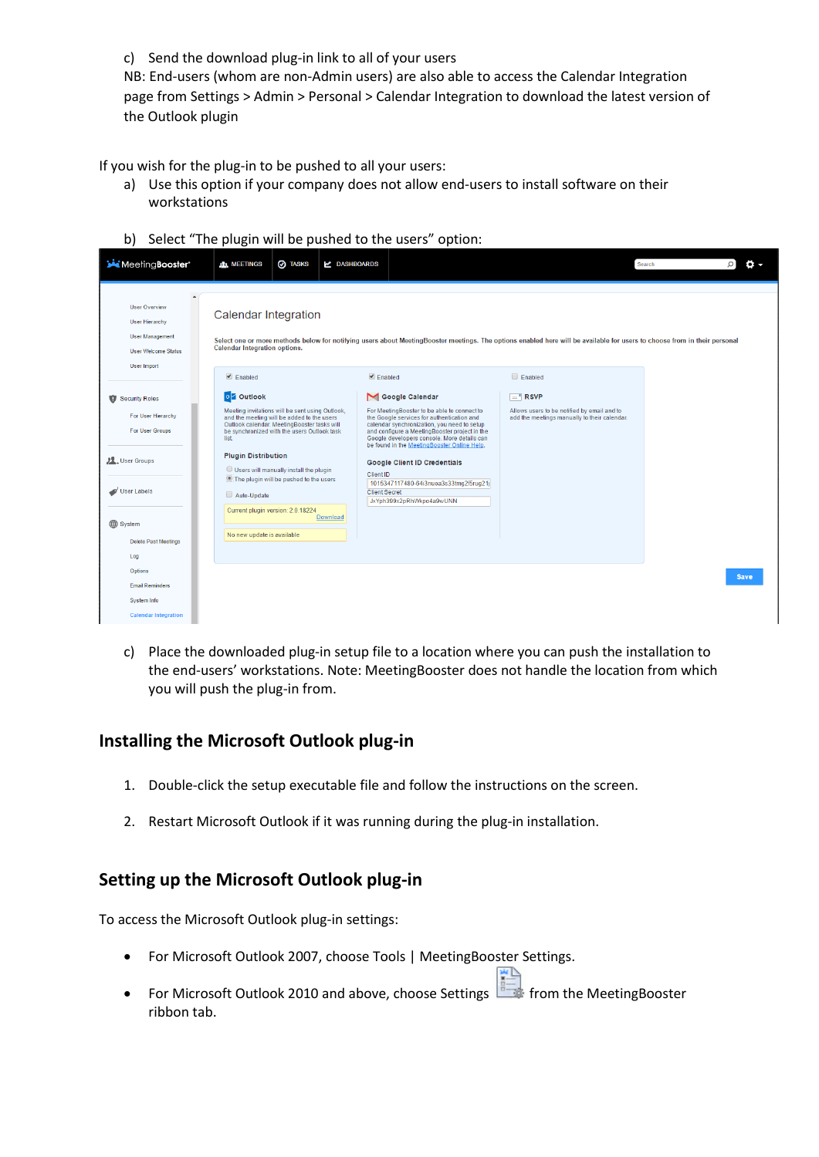c) Send the download plug-in link to all of your users

NB: End-users (whom are non-Admin users) are also able to access the Calendar Integration page from Settings > Admin > Personal > Calendar Integration to download the latest version of the Outlook plugin

If you wish for the plug-in to be pushed to all your users:

- a) Use this option if your company does not allow end-users to install software on their workstations
- b) Select "The plugin will be pushed to the users" option:

| MeetingBooster'                                                                                                                                     | <b>ALL MEETINGS</b>                                                                                                                                                                                                                                                                          | <b>@</b> TASKS                                                                                                          | Z DASHBOARDS                                         |                                                                                                                                                                                                                                                                                                                                                                                                                         |                                                                                                                                                                           | Search |             |
|-----------------------------------------------------------------------------------------------------------------------------------------------------|----------------------------------------------------------------------------------------------------------------------------------------------------------------------------------------------------------------------------------------------------------------------------------------------|-------------------------------------------------------------------------------------------------------------------------|------------------------------------------------------|-------------------------------------------------------------------------------------------------------------------------------------------------------------------------------------------------------------------------------------------------------------------------------------------------------------------------------------------------------------------------------------------------------------------------|---------------------------------------------------------------------------------------------------------------------------------------------------------------------------|--------|-------------|
| <b>User Overview</b><br><b>User Hierarchy</b><br><b>User Management</b><br><b>User Welcome Status</b>                                               | Calendar Integration<br><b>Calendar Integration options.</b>                                                                                                                                                                                                                                 |                                                                                                                         |                                                      |                                                                                                                                                                                                                                                                                                                                                                                                                         | Select one or more methods below for notifying users about MeetingBooster meetings. The options enabled here will be available for users to choose from in their personal |        |             |
| <b>User Import</b>                                                                                                                                  | $\blacksquare$ Enabled                                                                                                                                                                                                                                                                       |                                                                                                                         | $\blacksquare$ Enabled                               |                                                                                                                                                                                                                                                                                                                                                                                                                         | $\Box$ Enabled                                                                                                                                                            |        |             |
| Security Roles<br>For User Hierarchy<br>For User Groups<br><b>J.L.</b> , User Groups<br>User Labels<br>System<br><b>Delete Past Meetings</b><br>Log | o Outlook<br>Meeting invitations will be sent using Outlook,<br>and the meeting will be added to the users<br>Outlook calendar. MeetingBooster tasks will<br>be synchronized with the users Outlook task<br>list.<br><b>Plugin Distribution</b><br>Auto-Update<br>No new update is available | Users will manually install the plugin<br>. The plugin will be pushed to the users<br>Current plugin version: 2.0.18224 | Client ID<br><b>Client Secret</b><br><b>Download</b> | Google Calendar<br>For MeetingBooster to be able to connect to<br>the Google services for authentication and<br>calendar synchronization, you need to setup<br>and configure a MeetingBooster project in the<br>Google developers console. More details can<br>be found in the MeetingBooster Online Help.<br><b>Google Client ID Credentials</b><br>1015347117480-64i3nuoa3s33tmg2f5rug21j<br>JxYph399x2pRhWkpo4a9wUNN | $F =$ <sup>*</sup> RSVP<br>Allows users to be notified by email and to<br>add the meetings manually to their calendar.                                                    |        |             |
| Options<br><b>Email Reminders</b><br>System Info<br><b>Calendar Integration</b>                                                                     |                                                                                                                                                                                                                                                                                              |                                                                                                                         |                                                      |                                                                                                                                                                                                                                                                                                                                                                                                                         |                                                                                                                                                                           |        | <b>Save</b> |

c) Place the downloaded plug-in setup file to a location where you can push the installation to the end-users' workstations. Note: MeetingBooster does not handle the location from which you will push the plug-in from.

## **Installing the Microsoft Outlook plug-in**

- 1. Double-click the setup executable file and follow the instructions on the screen.
- 2. Restart Microsoft Outlook if it was running during the plug-in installation.

## **Setting up the Microsoft Outlook plug-in**

To access the Microsoft Outlook plug-in settings:

- For Microsoft Outlook 2007, choose Tools | MeetingBooster Settings.
- For Microsoft Outlook 2010 and above, choose Settings  $\frac{1}{\sqrt{2}}$  from the MeetingBooster ribbon tab.